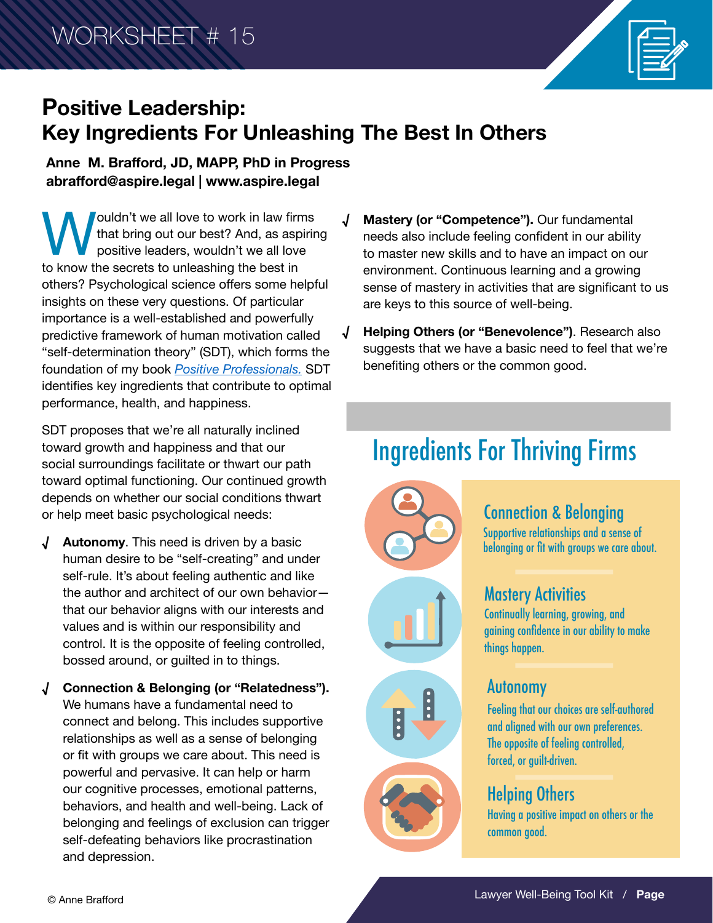

# **Positive Leadership: Key Ingredients For Unleashing The Best In Others**

**Anne M. Brafford, JD, MAPP, PhD in Progress abrafford@aspire.legal | www.aspire.legal**

**W**ouldn't we all love to work in law firms<br>that bring out our best? And, as aspirint<br>to know the secrets to unleashing the best in that bring out our best? And, as aspiring positive leaders, wouldn't we all love others? Psychological science offers some helpful insights on these very questions. Of particular importance is a well-established and powerfully predictive framework of human motivation called "self-determination theory" (SDT), which forms the foundation of my book *[Positive Professionals.](https://shop.americanbar.org/eBus/Store/ProductDetails.aspx?productId=296218728&term=brafford)* SDT identifies key ingredients that contribute to optimal performance, health, and happiness.

SDT proposes that we're all naturally inclined toward growth and happiness and that our social surroundings facilitate or thwart our path toward optimal functioning. Our continued growth depends on whether our social conditions thwart or help meet basic psychological needs:

- **√ Autonomy**. This need is driven by a basic human desire to be "self-creating" and under self-rule. It's about feeling authentic and like the author and architect of our own behavior that our behavior aligns with our interests and values and is within our responsibility and control. It is the opposite of feeling controlled, bossed around, or guilted in to things.
- **√ Connection & Belonging (or "Relatedness").** We humans have a fundamental need to connect and belong. This includes supportive relationships as well as a sense of belonging or fit with groups we care about. This need is powerful and pervasive. It can help or harm our cognitive processes, emotional patterns, behaviors, and health and well-being. Lack of belonging and feelings of exclusion can trigger self-defeating behaviors like procrastination and depression.
- **√ Mastery (or "Competence").** Our fundamental needs also include feeling confident in our ability to master new skills and to have an impact on our environment. Continuous learning and a growing sense of mastery in activities that are significant to us are keys to this source of well-being.
- **√ Helping Others (or "Benevolence")**. Research also suggests that we have a basic need to feel that we're benefiting others or the common good.

# Ingredients For Thriving Firms





Supportive relationships and a sense of belonging or fit with groups we care about.

# Mastery Activities

Continually learning, growing, and gaining confidence in our ability to make things happen.

# E



## Autonomy

Feeling that our choices are self-authored and aligned with our own preferences. The opposite of feeling controlled, forced, or guilt-driven.

# Helping Others

Having a positive impact on others or the common good.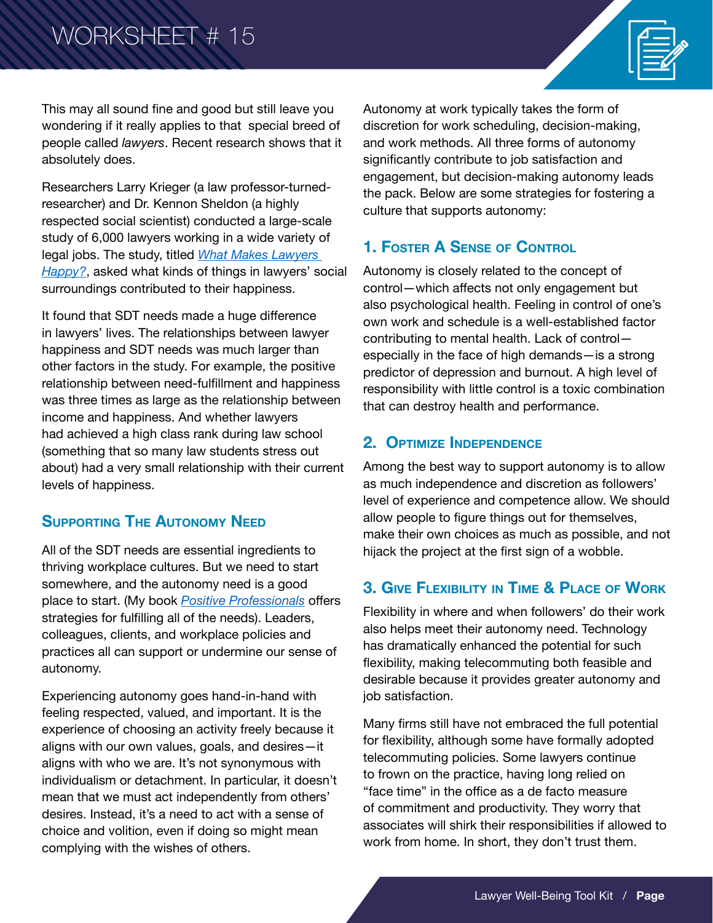# WORKSHEET # 15



This may all sound fine and good but still leave you wondering if it really applies to that special breed of people called *lawyers*. Recent research shows that it absolutely does.

Researchers Larry Krieger (a law professor-turnedresearcher) and Dr. Kennon Sheldon (a highly respected social scientist) conducted a large-scale study of 6,000 lawyers working in a wide variety of legal jobs. The study, titled *[What Makes Lawyers](https://papers.ssrn.com/sol3/papers.cfm?abstract_id=2398989.2)  [Happy?](https://papers.ssrn.com/sol3/papers.cfm?abstract_id=2398989.2)*, asked what kinds of things in lawyers' social surroundings contributed to their happiness.

It found that SDT needs made a huge difference in lawyers' lives. The relationships between lawyer happiness and SDT needs was much larger than other factors in the study. For example, the positive relationship between need-fulfillment and happiness was three times as large as the relationship between income and happiness. And whether lawyers had achieved a high class rank during law school (something that so many law students stress out about) had a very small relationship with their current levels of happiness.

#### **Supporting The Autonomy Need**

All of the SDT needs are essential ingredients to thriving workplace cultures. But we need to start somewhere, and the autonomy need is a good place to start. (My book *[Positive Professionals](https://shop.americanbar.org/eBus/Store/ProductDetails.aspx?productId=296218728&term=brafford)* offers strategies for fulfilling all of the needs). Leaders, colleagues, clients, and workplace policies and practices all can support or undermine our sense of autonomy.

Experiencing autonomy goes hand-in-hand with feeling respected, valued, and important. It is the experience of choosing an activity freely because it aligns with our own values, goals, and desires—it aligns with who we are. It's not synonymous with individualism or detachment. In particular, it doesn't mean that we must act independently from others' desires. Instead, it's a need to act with a sense of choice and volition, even if doing so might mean complying with the wishes of others.

Autonomy at work typically takes the form of discretion for work scheduling, decision-making, and work methods. All three forms of autonomy significantly contribute to job satisfaction and engagement, but decision-making autonomy leads the pack. Below are some strategies for fostering a culture that supports autonomy:

#### **1. Foster A Sense of Control**

Autonomy is closely related to the concept of control—which affects not only engagement but also psychological health. Feeling in control of one's own work and schedule is a well-established factor contributing to mental health. Lack of control especially in the face of high demands—is a strong predictor of depression and burnout. A high level of responsibility with little control is a toxic combination that can destroy health and performance.

#### **2. Optimize Independence**

Among the best way to support autonomy is to allow as much independence and discretion as followers' level of experience and competence allow. We should allow people to figure things out for themselves, make their own choices as much as possible, and not hijack the project at the first sign of a wobble.

#### **3. Give Flexibility in Time & Place of Work**

Flexibility in where and when followers' do their work also helps meet their autonomy need. Technology has dramatically enhanced the potential for such flexibility, making telecommuting both feasible and desirable because it provides greater autonomy and job satisfaction.

Many firms still have not embraced the full potential for flexibility, although some have formally adopted telecommuting policies. Some lawyers continue to frown on the practice, having long relied on "face time" in the office as a de facto measure of commitment and productivity. They worry that associates will shirk their responsibilities if allowed to work from home. In short, they don't trust them.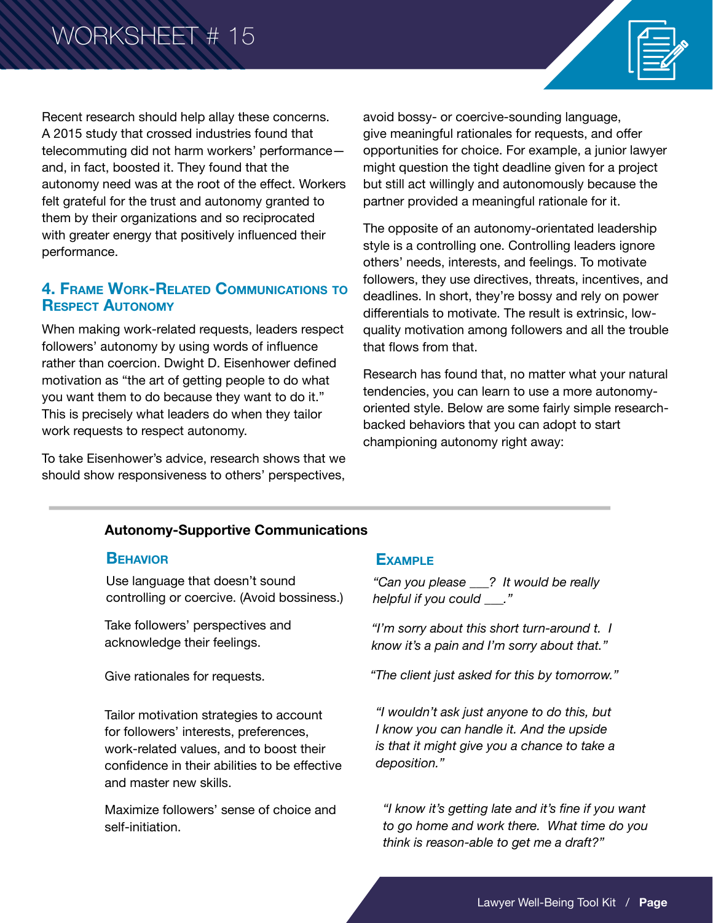Recent research should help allay these concerns. A 2015 study that crossed industries found that telecommuting did not harm workers' performance and, in fact, boosted it. They found that the autonomy need was at the root of the effect. Workers felt grateful for the trust and autonomy granted to them by their organizations and so reciprocated with greater energy that positively influenced their performance.

#### **4. Frame Work-Related Communications to Respect Autonomy**

When making work-related requests, leaders respect followers' autonomy by using words of influence rather than coercion. Dwight D. Eisenhower defined motivation as "the art of getting people to do what you want them to do because they want to do it." This is precisely what leaders do when they tailor work requests to respect autonomy.

To take Eisenhower's advice, research shows that we should show responsiveness to others' perspectives,

avoid bossy- or coercive-sounding language, give meaningful rationales for requests, and offer opportunities for choice. For example, a junior lawyer might question the tight deadline given for a project but still act willingly and autonomously because the partner provided a meaningful rationale for it.

The opposite of an autonomy-orientated leadership style is a controlling one. Controlling leaders ignore others' needs, interests, and feelings. To motivate followers, they use directives, threats, incentives, and deadlines. In short, they're bossy and rely on power differentials to motivate. The result is extrinsic, lowquality motivation among followers and all the trouble that flows from that.

Research has found that, no matter what your natural tendencies, you can learn to use a more autonomyoriented style. Below are some fairly simple researchbacked behaviors that you can adopt to start championing autonomy right away:

#### **Autonomy-Supportive Communications**

#### **Behavior Example**

Use language that doesn't sound controlling or coercive. (Avoid bossiness.)

Take followers' perspectives and acknowledge their feelings.

Tailor motivation strategies to account for followers' interests, preferences, work-related values, and to boost their confidence in their abilities to be effective and master new skills.

Maximize followers' sense of choice and self-initiation.

*"Can you please \_\_\_? It would be really helpful if you could \_\_\_."*

*"I'm sorry about this short turn-around t. I know it's a pain and I'm sorry about that."*

Give rationales for requests. *"The client just asked for this by tomorrow."*

*"I wouldn't ask just anyone to do this, but I know you can handle it. And the upside is that it might give you a chance to take a deposition."* 

*"I know it's getting late and it's fine if you want to go home and work there. What time do you think is reason-able to get me a draft?"*